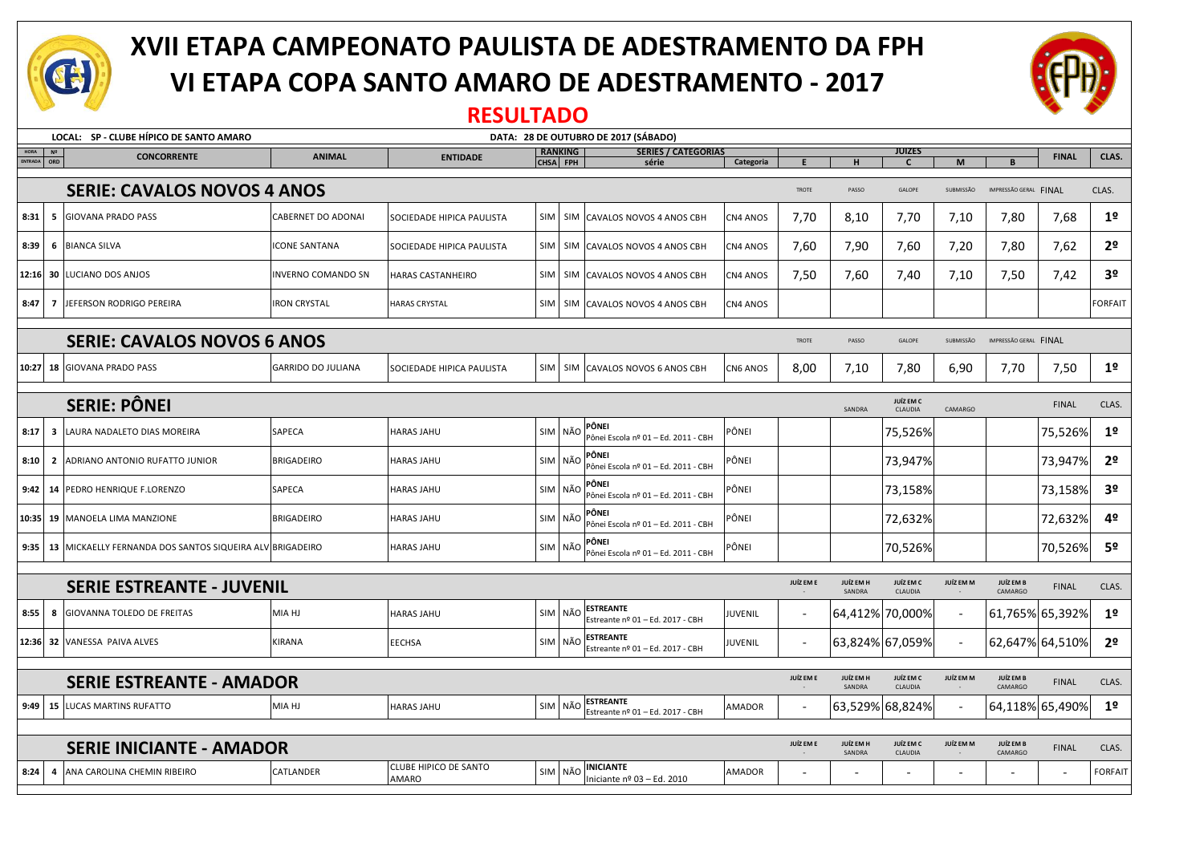

# **XVII ETAPA CAMPEONATO PAULISTA DE ADESTRAMENTO DA FPH VI ETAPA COPA SANTO AMARO DE ADESTRAMENTO - 2017**



### **RESULTADO**

| LOCAL: SP - CLUBE HÍPICO DE SANTO AMARO<br>DATA: 28 DE OUTUBRO DE 2017 (SÁBADO) |                                                            |                                                                                              |                                       |            |                                                                 |                |              |                     |                      |                          |                       |              |                |
|---------------------------------------------------------------------------------|------------------------------------------------------------|----------------------------------------------------------------------------------------------|---------------------------------------|------------|-----------------------------------------------------------------|----------------|--------------|---------------------|----------------------|--------------------------|-----------------------|--------------|----------------|
| HORA                                                                            | N <sup>2</sup><br><b>CONCORRENTE</b>                       | <b>SERIES / CATEGORIAS</b><br><b>RANKING</b><br><b>ANIMAL</b><br><b>ENTIDADE</b><br>CHSA FPH |                                       |            |                                                                 |                |              | <b>JUİZES</b>       |                      |                          | <b>FINAL</b>          | CLAS.        |                |
| ENTRADA                                                                         | ORD                                                        |                                                                                              |                                       |            | série                                                           | Categoria      | E            | н                   | $\mathbf{C}$         | M                        | B                     |              |                |
|                                                                                 | <b>SERIE: CAVALOS NOVOS 4 ANOS</b>                         |                                                                                              |                                       |            |                                                                 |                | <b>TROTE</b> | PASSO               | GALOPE               | SUBMISSÃO                | IMPRESSÃO GERAL FINAL |              | CLAS.          |
| 8:31                                                                            | <b>GIOVANA PRADO PASS</b><br>5                             | <b>CABERNET DO ADONAI</b>                                                                    | SOCIEDADE HIPICA PAULISTA             |            | SIM   SIM   CAVALOS NOVOS 4 ANOS CBH                            | CN4 ANOS       | 7,70         | 8,10                | 7,70                 | 7,10                     | 7,80                  | 7,68         | 1 <sup>o</sup> |
| 8:39                                                                            | 6 BIANCA SILVA                                             | <b>ICONE SANTANA</b>                                                                         | SOCIEDADE HIPICA PAULISTA             |            | SIM   SIM   CAVALOS NOVOS 4 ANOS CBH                            | CN4 ANOS       | 7,60         | 7,90                | 7,60                 | 7,20                     | 7,80                  | 7,62         | 2 <sup>o</sup> |
| 12:16                                                                           | <b>30 LUCIANO DOS ANJOS</b>                                | INVERNO COMANDO SN                                                                           | HARAS CASTANHEIRO                     | <b>SIM</b> | SIM CAVALOS NOVOS 4 ANOS CBH                                    | CN4 ANOS       | 7,50         | 7,60                | 7,40                 | 7,10                     | 7,50                  | 7,42         | 3 <sup>o</sup> |
| 8:47                                                                            | 7 JEFERSON RODRIGO PEREIRA                                 | <b>IRON CRYSTAL</b>                                                                          | <b>HARAS CRYSTAL</b>                  | SIM I      | SIM CAVALOS NOVOS 4 ANOS CBH                                    | CN4 ANOS       |              |                     |                      |                          |                       |              | <b>FORFAIT</b> |
| <b>SERIE: CAVALOS NOVOS 6 ANOS</b>                                              |                                                            |                                                                                              |                                       |            |                                                                 |                |              | PASSO               | GALOPE               | SUBMISSÃO                | IMPRESSÃO GERAL FINAL |              |                |
|                                                                                 | 10:27 18 GIOVANA PRADO PASS                                | <b>GARRIDO DO JULIANA</b>                                                                    | SOCIEDADE HIPICA PAULISTA             |            | SIM   SIM   CAVALOS NOVOS 6 ANOS CBH                            | CN6 ANOS       | 8,00         | 7,10                | 7,80                 | 6,90                     | 7,70                  | 7,50         | 1 <sup>o</sup> |
|                                                                                 |                                                            |                                                                                              |                                       |            |                                                                 |                |              |                     |                      |                          |                       |              |                |
|                                                                                 | <b>SERIE: PÔNEI</b>                                        |                                                                                              |                                       |            |                                                                 |                |              | SANDRA              | JUÍZ EM C<br>CLAUDIA | CAMARGO                  |                       | <b>FINAL</b> | CLAS.          |
| 8:17                                                                            | 3<br>LAURA NADALETO DIAS MOREIRA                           | SAPECA                                                                                       | <b>HARAS JAHU</b>                     |            | PÔNEI<br>SIM NÃO<br>Pônei Escola nº 01 - Ed. 2011 - CBH         | PÔNEI          |              |                     | 75,526%              |                          |                       | 75,526%      | 1 <sup>o</sup> |
| 8:10                                                                            | 2 ADRIANO ANTONIO RUFATTO JUNIOR                           | <b>BRIGADEIRO</b>                                                                            | <b>HARAS JAHU</b>                     |            | PÔNEI<br>SIM NÃO<br>Pônei Escola nº 01 - Ed. 2011 - CBH         | PÔNEI          |              |                     | 73,947%              |                          |                       | 73,947%      | 2 <sup>o</sup> |
| 9:42                                                                            | 14 PEDRO HENRIQUE F.LORENZO                                | SAPECA                                                                                       | <b>HARAS JAHU</b>                     |            | PÔNEI<br>SIM NÃO<br>Pônei Escola nº 01 - Ed. 2011 - CBH         | PÔNEI          |              |                     | 73,158%              |                          |                       | 73,158%      | 3 <sup>o</sup> |
| 10:35                                                                           | 19 MANOELA LIMA MANZIONE                                   | <b>BRIGADEIRO</b>                                                                            | HARAS JAHU                            |            | PÔNEI<br>SIM NÃO<br>Pônei Escola nº 01 - Ed. 2011 - CBH         | PÔNEI          |              |                     | 72,632%              |                          |                       | 72,632%      | 4º             |
| 9:35                                                                            | 13   MICKAELLY FERNANDA DOS SANTOS SIQUEIRA ALV BRIGADEIRO |                                                                                              | <b>HARAS JAHU</b>                     |            | PÔNEI<br>SIM NÃO<br>Pônei Escola nº 01 - Ed. 2011 - CBH         | PÔNEI          |              |                     | 70,526%              |                          |                       | 70,526%      | 5 <sup>o</sup> |
|                                                                                 |                                                            |                                                                                              |                                       |            |                                                                 |                |              |                     |                      |                          |                       |              |                |
|                                                                                 | <b>SERIE ESTREANTE - JUVENIL</b>                           |                                                                                              |                                       |            |                                                                 |                | JUÍZ EM E    | JUÍZ EM H<br>SANDRA | JUÍZ EM C<br>CLAUDIA | JUÍZ EM M                | JUÍZ EM B<br>CAMARGO  | <b>FINAL</b> | CLAS.          |
| 8:55                                                                            | <b>GIOVANNA TOLEDO DE FREITAS</b><br>8                     | MIA HJ                                                                                       | <b>HARAS JAHU</b>                     | SIM        | <b>ESTREANTE</b><br>NÃO<br>Estreante nº 01 - Ed. 2017 - CBH     | <b>JUVENIL</b> | $\sim$       | 64,412% 70,000%     |                      | $\overline{\phantom{a}}$ | 61,765% 65,392%       |              | 1 <sup>o</sup> |
| 12:36                                                                           | 32 VANESSA PAIVA ALVES                                     | <b>KIRANA</b>                                                                                | <b>EECHSA</b>                         |            | <b>ESTREANTE</b><br>SIM NÃO<br>Estreante nº 01 - Ed. 2017 - CBH | <b>JUVENIL</b> |              | 63,824% 67,059%     |                      |                          | 62,647% 64,510%       |              | 2 <sup>o</sup> |
| JUÍZ EM H<br><b>JUÍZ EM C</b><br>JUÍZ EM E<br>JUÍZ EM M                         |                                                            |                                                                                              |                                       |            |                                                                 |                |              |                     |                      | JUÍZ EM B                |                       |              |                |
|                                                                                 | <b>SERIE ESTREANTE - AMADOR</b>                            |                                                                                              |                                       |            |                                                                 |                |              | SANDRA              | CLAUDIA              |                          | CAMARGO               | <b>FINAL</b> | CLAS.          |
| 9:49                                                                            | <b>15 LUCAS MARTINS RUFATTO</b>                            | MIA HJ                                                                                       | HARAS JAHU                            |            | <b>ESTREANTE</b><br>SIM NÃO<br>Estreante nº 01 - Ed. 2017 - CBH | <b>AMADOR</b>  |              | 63,529% 68,824%     |                      |                          | 64,118% 65,490%       |              | 1 <sup>o</sup> |
|                                                                                 | <b>SERIE INICIANTE - AMADOR</b>                            |                                                                                              |                                       |            |                                                                 |                |              |                     | JUÍZ EM C<br>CLAUDIA | JUÍZ EM M                | JUÍZ EM B<br>CAMARGO  | <b>FINAL</b> | CLAS.          |
| 8:24                                                                            | 4 ANA CAROLINA CHEMIN RIBEIRO                              | CATLANDER                                                                                    | CLUBE HIPICO DE SANTO<br><b>AMARO</b> |            | INICIANTE<br>SIM NÃO<br>Iniciante nº 03 - Ed. 2010              | <b>AMADOR</b>  |              | SANDRA              |                      |                          |                       |              | <b>FORFAIT</b> |
|                                                                                 |                                                            |                                                                                              |                                       |            |                                                                 |                |              |                     |                      |                          |                       |              |                |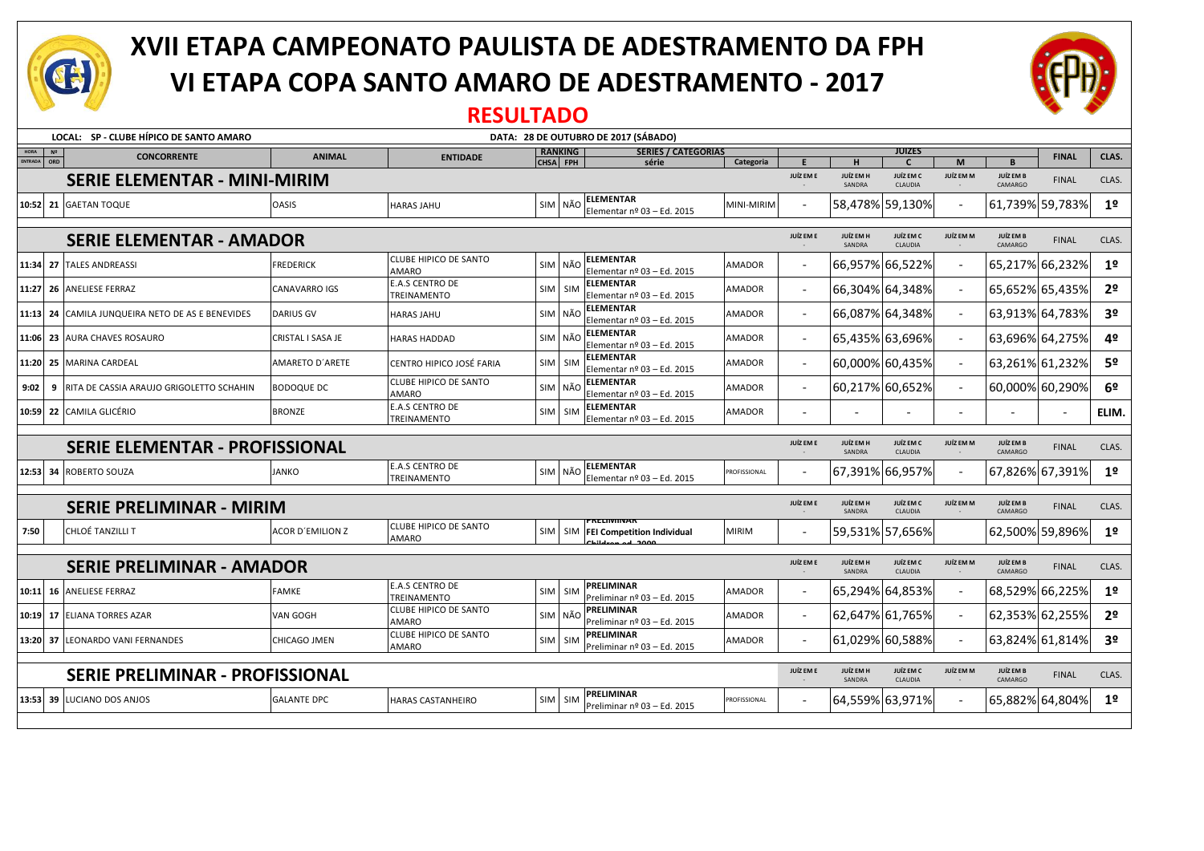

# **XVII ETAPA CAMPEONATO PAULISTA DE ADESTRAMENTO DA FPH VI ETAPA COPA SANTO AMARO DE ADESTRAMENTO - 2017**



#### **RESULTADO**

|                                  | LOCAL: SP - CLUBE HÍPICO DE SANTO AMARO<br>DATA: 28 DE OUTUBRO DE 2017 (SÁBADO) |                                                  |                         |                                              |                  |                            |                                                              |                     |                             |                            |                               |                          |                      |                 |                |
|----------------------------------|---------------------------------------------------------------------------------|--------------------------------------------------|-------------------------|----------------------------------------------|------------------|----------------------------|--------------------------------------------------------------|---------------------|-----------------------------|----------------------------|-------------------------------|--------------------------|----------------------|-----------------|----------------|
| HORA<br>ENTRADA                  | N <sup>2</sup><br>ORD                                                           | <b>CONCORRENTE</b>                               | <b>ANIMAL</b>           | <b>ENTIDADE</b>                              |                  | <b>RANKING</b><br>CHSA FPH | <b>SERIES / CATEGORIAS</b><br>série                          |                     | E                           | H                          | <b>JUİZES</b><br>$\mathsf{C}$ | M                        | B                    | <b>FINAL</b>    | CLAS.          |
|                                  |                                                                                 | <b>SERIE ELEMENTAR - MINI-MIRIM</b>              |                         |                                              |                  |                            |                                                              | Categoria           | JUÍZ EM E                   | <b>JUÍZ EM H</b><br>SANDRA | JUÍZ EM C<br>CLAUDIA          | JUÍZ EM M                | JUÍZ EM B<br>CAMARGO | <b>FINAL</b>    | CLAS.          |
|                                  |                                                                                 | 10:52 21 GAETAN TOQUE                            | <b>OASIS</b>            | <b>HARAS JAHU</b>                            |                  | SIM NÃO                    | <b>ELEMENTAR</b><br>Elementar $n^{\circ}$ 03 - Ed. 2015      | MINI-MIRIM          |                             |                            | 58,478% 59,130%               |                          |                      | 61,739% 59,783% | 1 <sup>0</sup> |
|                                  |                                                                                 | <b>SERIE ELEMENTAR - AMADOR</b>                  |                         |                                              |                  |                            |                                                              |                     | JUÍZ EM E                   | JUÍZ EM H<br>SANDRA        | JUÍZ EM C<br>CLAUDIA          | JUÍZ EM M                | JUÍZ EM B<br>CAMARGO | <b>FINAL</b>    | CLAS.          |
|                                  |                                                                                 | 11:34 27 TALES ANDREASSI                         | <b>FREDERICK</b>        | <b>CLUBE HIPICO DE SANTO</b><br>AMARO        |                  | SIM NÃO                    | <b>ELEMENTAR</b><br>Elementar nº 03 - Ed. 2015               | <b>AMADOR</b>       | $\sim$                      |                            | 66,957% 66,522%               | $\overline{\phantom{a}}$ |                      | 65,217% 66,232% | 1 <sup>o</sup> |
|                                  |                                                                                 | 11:27 26 ANELIESE FERRAZ                         | <b>CANAVARRO IGS</b>    | <b>E.A.S CENTRO DE</b><br>TREINAMENTO        |                  | SIM SIM                    | <b>ELEMENTAR</b><br>Elementar nº 03 - Ed. 2015               | AMADOR              |                             |                            | 66,304% 64,348%               |                          | 65,652% 65,435%      |                 | 2 <sup>o</sup> |
|                                  |                                                                                 | 11:13 24 CAMILA JUNQUEIRA NETO DE AS E BENEVIDES | <b>DARIUS GV</b>        | <b>HARAS JAHU</b>                            |                  | SIM NÃO                    | <b>ELEMENTAR</b><br>Elementar nº 03 - Ed. 2015               | <b>AMADOR</b>       |                             |                            | 66,087% 64,348%               |                          |                      | 63,913% 64,783% | 3 <sup>o</sup> |
|                                  |                                                                                 | 11:06 23 AURA CHAVES ROSAURO                     | CRISTAL I SASA JE       | <b>HARAS HADDAD</b>                          |                  | SIM NÃO                    | <b>ELEMENTAR</b><br>Elementar $n^{\circ}$ 03 - Ed. 2015      | <b>AMADOR</b>       |                             |                            | 65,435% 63,696%               |                          |                      | 63,696% 64,275% | 4º             |
|                                  |                                                                                 | 11:20 25 MARINA CARDEAL                          | AMARETO D'ARETE         | CENTRO HIPICO JOSÉ FARIA                     |                  | SIM SIM                    | <b>ELEMENTAR</b><br>Elementar nº 03 - Ed. 2015               | AMADOR              |                             |                            | 60,000% 60,435%               |                          |                      | 63,261% 61,232% | 5 <sup>o</sup> |
| 9:02                             | 9                                                                               | RITA DE CASSIA ARAUJO GRIGOLETTO SCHAHIN         | <b>BODOQUE DC</b>       | <b>CLUBE HIPICO DE SANTO</b><br>AMARO        |                  | SIM NÃO                    | <b>ELEMENTAR</b><br>Elementar nº 03 - Ed. 2015               | <b>AMADOR</b>       |                             |                            | 60,217% 60,652%               |                          |                      | 60,000% 60,290% | 6 <sup>o</sup> |
|                                  |                                                                                 | 10:59   22   CAMILA GLICÉRIO                     | <b>BRONZE</b>           | <b>E.A.S CENTRO DE</b><br>TREINAMENTO        |                  | SIM SIM                    | <b>ELEMENTAR</b><br>Elementar $n^{\circ}$ 03 - Ed. 2015      | <b>AMADOR</b>       | $\sim$                      |                            |                               |                          |                      |                 | ELIM.          |
|                                  | <b>SERIE ELEMENTAR - PROFISSIONAL</b>                                           |                                                  |                         |                                              |                  |                            |                                                              |                     | JUÍZ EM E                   | JUÍZ EM H<br>SANDRA        | JUÍZ EM C<br>CLAUDIA          | JUÍZ EM M                | JUÍZ EM B<br>CAMARGO | <b>FINAL</b>    | CLAS.          |
|                                  |                                                                                 | 12:53 34 ROBERTO SOUZA                           | <b>JANKO</b>            | <b>E.A.S CENTRO DE</b><br>TREINAMENTO        | SIM <sup>I</sup> | NÃO                        | <b>ELEMENTAR</b><br>Elementar nº 03 - Ed. 2015               | PROFISSIONAL        |                             |                            | 67,391% 66,957%               |                          |                      | 67,826% 67,391% | 1 <sup>o</sup> |
|                                  | <b>SERIE PRELIMINAR - MIRIM</b>                                                 |                                                  |                         |                                              |                  |                            |                                                              |                     | JUÍZ EM E                   | JUÍZ EM H<br>SANDRA        | JUÍZ EM C<br>CLAUDIA          | JUÍZ EM M                | JUÍZ EM B<br>CAMARGO | <b>FINAL</b>    | CLAS.          |
| 7:50                             |                                                                                 | CHLOÉ TANZILLI T                                 | <b>ACOR D'EMILION Z</b> | <b>CLUBE HIPICO DE SANTO</b><br><b>AMARO</b> |                  |                            | <b>RELIVIIIVAR</b><br>SIM   SIM   FEI Competition Individual | <b>MIRIM</b>        | $\sim$                      |                            | 59,531% 57,656%               |                          |                      | 62,500% 59,896% | 1 <sup>°</sup> |
| <b>SERIE PRELIMINAR - AMADOR</b> |                                                                                 |                                                  |                         |                                              |                  |                            | JUÍZ EM E                                                    | JUÍZ EM H<br>SANDRA | <b>JUÍZ EM C</b><br>CLAUDIA | JUÍZ EM M                  | JUÍZ EM B<br>CAMARGO          | <b>FINAL</b>             | CLAS.                |                 |                |
|                                  |                                                                                 | 10:11 16 ANELIESE FERRAZ                         | <b>FAMKE</b>            | <b>E.A.S CENTRO DE</b><br>TREINAMENTO        | SIM <sup>I</sup> | SIM                        | PRELIMINAR<br>Preliminar nº 03 - Ed. 2015                    | <b>AMADOR</b>       |                             |                            | 65,294% 64,853%               |                          |                      | 68,529% 66,225% | 1 <sup>o</sup> |
| 10:19                            |                                                                                 | <b>17 ELIANA TORRES AZAR</b>                     | VAN GOGH                | CLUBE HIPICO DE SANTO<br><b>AMARO</b>        |                  | SIM NÃO                    | PRELIMINAR<br>Preliminar nº 03 - Ed. 2015                    | <b>AMADOR</b>       | $\sim$                      |                            | 62,647% 61,765%               |                          |                      | 62,353% 62,255% | 2 <sup>o</sup> |
|                                  |                                                                                 | 13:20 37 LEONARDO VANI FERNANDES                 | CHICAGO JMEN            | <b>CLUBE HIPICO DE SANTO</b><br>AMARO        |                  | SIM SIM                    | PRELIMINAR<br>Preliminar nº 03 - Ed. 2015                    | AMADOR              |                             |                            | 61,029% 60,588%               |                          |                      | 63,824% 61,814% | 3 <sup>o</sup> |
|                                  |                                                                                 | <b>SERIE PRELIMINAR - PROFISSIONAL</b>           |                         |                                              |                  |                            |                                                              |                     | JUÍZ EM E                   | JUÍZ EM H<br>SANDRA        | JUÍZ EM C<br>CLAUDIA          | JUÍZ EM M                | JUÍZ EM B<br>CAMARGO | <b>FINAL</b>    | CLAS.          |
|                                  |                                                                                 | 13:53 39 LUCIANO DOS ANJOS                       | <b>GALANTE DPC</b>      | <b>HARAS CASTANHEIRO</b>                     |                  | SIM SIM                    | PRELIMINAR<br>Preliminar $n^{\circ}$ 03 - Ed. 2015           | PROFISSIONAL        |                             |                            | 64,559% 63,971%               |                          |                      | 65,882% 64,804% | 1 <sup>0</sup> |
|                                  |                                                                                 |                                                  |                         |                                              |                  |                            |                                                              |                     |                             |                            |                               |                          |                      |                 |                |